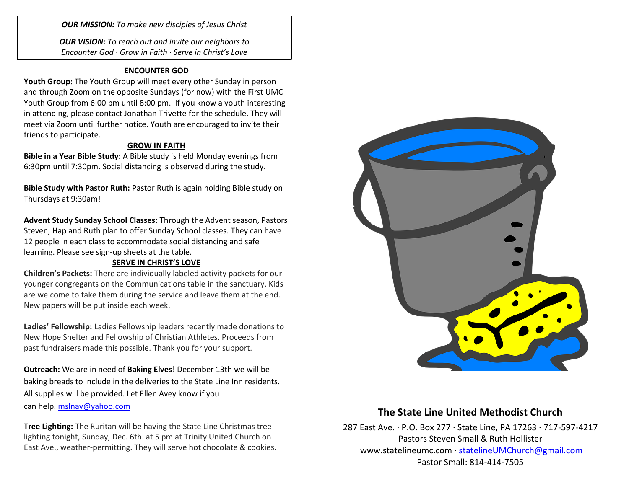*OUR MISSION: To make new disciples of Jesus Christ*

*OUR VISION: To reach out and invite our neighbors to Encounter God · Grow in Faith · Serve in Christ's Love*

### **ENCOUNTER GOD**

**Youth Group:** The Youth Group will meet every other Sunday in person and through Zoom on the opposite Sundays (for now) with the First UMC Youth Group from 6:00 pm until 8:00 pm. If you know a youth interesting in attending, please contact Jonathan Trivette for the schedule. They will meet via Zoom until further notice. Youth are encouraged to invite their friends to participate.

### **GROW IN FAITH**

**Bible in a Year Bible Study:** A Bible study is held Monday evenings from 6:30pm until 7:30pm. Social distancing is observed during the study.

**Bible Study with Pastor Ruth:** Pastor Ruth is again holding Bible study on Thursdays at 9:30am!

**Advent Study Sunday School Classes:** Through the Advent season, Pastors Steven, Hap and Ruth plan to offer Sunday School classes. They can have 12 people in each class to accommodate social distancing and safe learning. Please see sign-up sheets at the table.

#### **SERVE IN CHRIST'S LOVE**

**Children's Packets:** There are individually labeled activity packets for our younger congregants on the Communications table in the sanctuary. Kids are welcome to take them during the service and leave them at the end. New papers will be put inside each week.

**Ladies' Fellowship:** Ladies Fellowship leaders recently made donations to New Hope Shelter and Fellowship of Christian Athletes. Proceeds from past fundraisers made this possible. Thank you for your support.

**Outreach:** We are in need of **Baking Elves**! December 13th we will be baking breads to include in the deliveries to the State Line Inn residents. All supplies will be provided. Let Ellen Avey know if you can help. [mslnav@yahoo.com](mailto:mslnav@yahoo.com)

**Tree Lighting:** The Ruritan will be having the State Line Christmas tree lighting tonight, Sunday, Dec. 6th. at 5 pm at Trinity United Church on East Ave., weather-permitting. They will serve hot chocolate & cookies.



## **The State Line United Methodist Church**

287 East Ave. · P.O. Box 277 · State Line, PA 17263 · 717-597-4217 Pastors Steven Small & Ruth Hollister [www.statelineumc.com](http://www.statelineumc.com/) · [statelineUMChurch@gmail.com](mailto:statelineUMChurch@gmail.com) Pastor Small: 814-414-7505